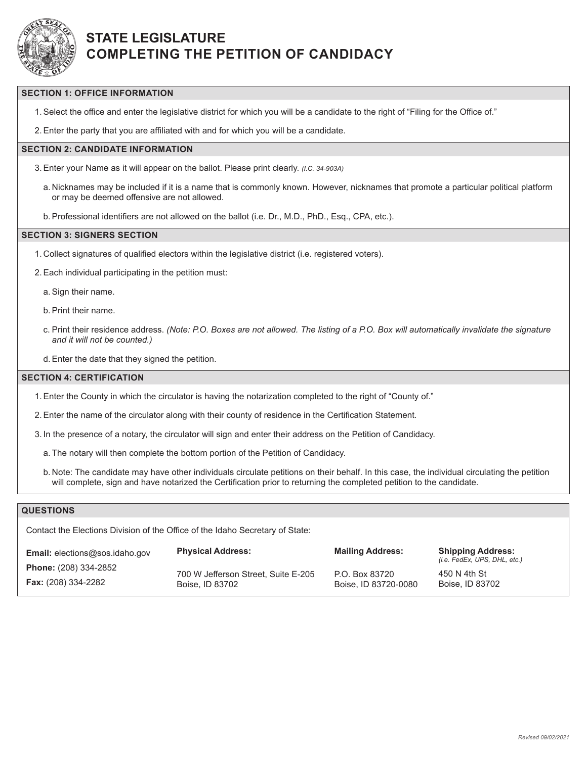

# **STATE LEGISLATURE COMPLETING THE PETITION OF CANDIDACY**

### **SECTION 1: OFFICE INFORMATION**

1.Select the office and enter the legislative district for which you will be a candidate to the right of "Filing for the Office of."

2.Enter the party that you are affiliated with and for which you will be a candidate.

## **SECTION 2: CANDIDATE INFORMATION**

3.Enter your Name as it will appear on the ballot. Please print clearly. *(I.C. 34-903A)*

a. Nicknames may be included if it is a name that is commonly known. However, nicknames that promote a particular political platform or may be deemed offensive are not allowed.

b.Professional identifiers are not allowed on the ballot (i.e. Dr., M.D., PhD., Esq., CPA, etc.).

#### **SECTION 3: SIGNERS SECTION**

1. Collect signatures of qualified electors within the legislative district (i.e. registered voters).

2.Each individual participating in the petition must:

a.Sign their name.

b.Print their name.

c. Print their residence address. *(Note: P.O. Boxes are not allowed. The listing of a P.O. Box will automatically invalidate the signature and it will not be counted.)*

d.Enter the date that they signed the petition.

#### **SECTION 4: CERTIFICATION**

1.Enter the County in which the circulator is having the notarization completed to the right of "County of."

2.Enter the name of the circulator along with their county of residence in the Certification Statement.

- 3. In the presence of a notary, the circulator will sign and enter their address on the Petition of Candidacy.
	- a. The notary will then complete the bottom portion of the Petition of Candidacy.
	- b. Note: The candidate may have other individuals circulate petitions on their behalf. In this case, the individual circulating the petition will complete, sign and have notarized the Certification prior to returning the completed petition to the candidate.

## **QUESTIONS**

Contact the Elections Division of the Office of the Idaho Secretary of State:

|                                                            |                                     | <b>Mailing Address:</b> | <b>Shipping Address:</b><br>(i.e. FedEx, UPS, DHL, etc.) |
|------------------------------------------------------------|-------------------------------------|-------------------------|----------------------------------------------------------|
| <b>Phone:</b> (208) 334-2852<br><b>Fax:</b> (208) 334-2282 | 700 W Jefferson Street. Suite E-205 | P.O. Box 83720          | 450 N 4th St<br>Boise. ID 83702                          |
|                                                            | Boise, ID 83702                     | Boise, ID 83720-0080    |                                                          |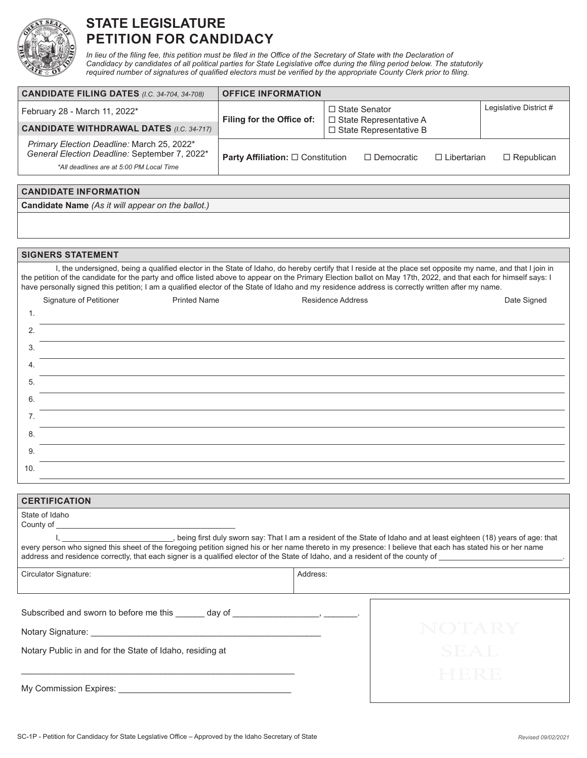

## **STATE LEGISLATURE PETITION FOR CANDIDACY**

In lieu of the filing fee, this petition must be filed in the Office of the Secretary of State with the Declaration of *Candidacy by candidates of all political parties for State Legislative offce during the filing period below. The statutorily required number of signatures of qualified electors must be verified by the appropriate County Clerk prior to filing.*

| <b>CANDIDATE FILING DATES (I.C. 34-704, 34-708)</b>                                                                                     | <b>OFFICE INFORMATION</b>                                                                                           |                   |                    |                        |
|-----------------------------------------------------------------------------------------------------------------------------------------|---------------------------------------------------------------------------------------------------------------------|-------------------|--------------------|------------------------|
| February 28 - March 11, 2022*                                                                                                           | $\Box$ State Senator<br>Filing for the Office of:<br>$\Box$ State Representative A<br>$\Box$ State Representative B |                   |                    | Legislative District # |
| <b>CANDIDATE WITHDRAWAL DATES (I.C. 34-717)</b>                                                                                         |                                                                                                                     |                   |                    |                        |
| Primary Election Deadline: March 25, 2022*<br>General Election Deadline: September 7, 2022*<br>*All deadlines are at 5:00 PM Local Time | <b>Party Affiliation:</b> $\Box$ Constitution                                                                       | $\Box$ Democratic | $\Box$ Libertarian | $\Box$ Republican      |

| <b>CANDIDATE INFORMATION</b>                             |  |
|----------------------------------------------------------|--|
| <b>Candidate Name</b> (As it will appear on the ballot.) |  |

### **SIGNERS STATEMENT**

I, the undersigned, being a qualified elector in the State of Idaho, do hereby certify that I reside at the place set opposite my name, and that I join in the petition of the candidate for the party and office listed above to appear on the Primary Election ballot on May 17th, 2022, and that each for himself says: I have personally signed this petition; I am a qualified elector of the State of Idaho and my residence address is correctly written after my name.

|     | Signature of Petitioner | <b>Printed Name</b> | Residence Address | Date Signed |
|-----|-------------------------|---------------------|-------------------|-------------|
| 1.  |                         |                     |                   |             |
| 2.  |                         |                     |                   |             |
| 3.  |                         |                     |                   |             |
| 4.  |                         |                     |                   |             |
| 5.  |                         |                     |                   |             |
| 6.  |                         |                     |                   |             |
| 7.  |                         |                     |                   |             |
| 8.  |                         |                     |                   |             |
| 9.  |                         |                     |                   |             |
| 10. |                         |                     |                   |             |

| <b>CERTIFICATION</b>                                                                                                                                                                                                                                                                                                                                                                                                                                                                                                                                |          |  |  |  |
|-----------------------------------------------------------------------------------------------------------------------------------------------------------------------------------------------------------------------------------------------------------------------------------------------------------------------------------------------------------------------------------------------------------------------------------------------------------------------------------------------------------------------------------------------------|----------|--|--|--|
| State of Idaho                                                                                                                                                                                                                                                                                                                                                                                                                                                                                                                                      |          |  |  |  |
| I, ___________________________, being first duly sworn say: That I am a resident of the State of Idaho and at least eighteen (18) years of age: that<br>every person who signed this sheet of the foregoing petition signed his or her name thereto in my presence: I believe that each has stated his or her name<br>address and residence correctly, that each signer is a qualified elector of the State of Idaho, and a resident of the county of example is a qualified elector of the State of Idaho, and a resident of the county of example |          |  |  |  |
| Circulator Signature:                                                                                                                                                                                                                                                                                                                                                                                                                                                                                                                               | Address: |  |  |  |
|                                                                                                                                                                                                                                                                                                                                                                                                                                                                                                                                                     |          |  |  |  |
|                                                                                                                                                                                                                                                                                                                                                                                                                                                                                                                                                     |          |  |  |  |
| Notary Signature: Notary Signature:                                                                                                                                                                                                                                                                                                                                                                                                                                                                                                                 |          |  |  |  |
| Notary Public in and for the State of Idaho, residing at                                                                                                                                                                                                                                                                                                                                                                                                                                                                                            | SEAT.    |  |  |  |
|                                                                                                                                                                                                                                                                                                                                                                                                                                                                                                                                                     |          |  |  |  |
| My Commission Expires: _____                                                                                                                                                                                                                                                                                                                                                                                                                                                                                                                        |          |  |  |  |